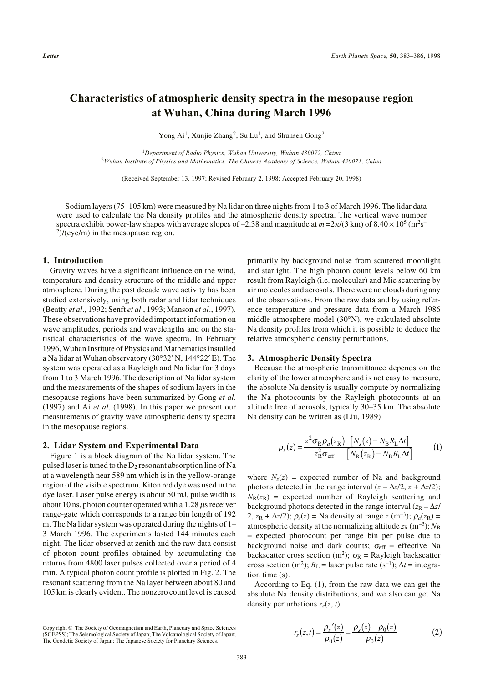# **Characteristics of atmospheric density spectra in the mesopause region at Wuhan, China during March 1996**

Yong Ai<sup>1</sup>, Xunjie Zhang<sup>2</sup>, Su Lu<sup>1</sup>, and Shunsen Gong<sup>2</sup>

<sup>1</sup>*Department of Radio Physics, Wuhan University, Wuhan 430072, China* <sup>2</sup>*Wuhan Institute of Physics and Mathematics, The Chinese Academy of Science, Wuhan 430071, China*

(Received September 13, 1997; Revised February 2, 1998; Accepted February 20, 1998)

Sodium layers (75–105 km) were measured by Na lidar on three nights from 1 to 3 of March 1996. The lidar data were used to calculate the Na density profiles and the atmospheric density spectra. The vertical wave number spectra exhibit power-law shapes with average slopes of –2.38 and magnitude at  $m = 2\pi/(3 \text{ km})$  of  $8.40 \times 10^5 \text{ (m}^2\text{s}^{-1})$  $^{2}$ )/(cyc/m) in the mesopause region.

## **1. Introduction**

Gravity waves have a significant influence on the wind, temperature and density structure of the middle and upper atmosphere. During the past decade wave activity has been studied extensively, using both radar and lidar techniques (Beatty *et al*., 1992; Senft *et al*., 1993; Manson *et al*., 1997). These observations have provided important information on wave amplitudes, periods and wavelengths and on the statistical characteristics of the wave spectra. In February 1996, Wuhan Institute of Physics and Mathematics installed a Na lidar at Wuhan observatory (30°32′ N, 144°22′ E). The system was operated as a Rayleigh and Na lidar for 3 days from 1 to 3 March 1996. The description of Na lidar system and the measurements of the shapes of sodium layers in the mesopause regions have been summarized by Gong *et al*. (1997) and Ai *et al*. (1998). In this paper we present our measurements of gravity wave atmospheric density spectra in the mesopause regions.

## **2. Lidar System and Experimental Data**

Figure 1 is a block diagram of the Na lidar system. The pulsed laser is tuned to the  $D_2$  resonant absorption line of Na at a wavelength near 589 nm which is in the yellow-orange region of the visible spectrum. Kiton red dye was used in the dye laser. Laser pulse energy is about 50 mJ, pulse width is about 10 ns, photon counter operated with a 1.28  $\mu$ s receiver range-gate which corresponds to a range bin length of 192 m. The Na lidar system was operated during the nights of 1– 3 March 1996. The experiments lasted 144 minutes each night. The lidar observed at zenith and the raw data consist of photon count profiles obtained by accumulating the returns from 4800 laser pulses collected over a period of 4 min. A typical photon count profile is plotted in Fig. 2. The resonant scattering from the Na layer between about 80 and 105 km is clearly evident. The nonzero count level is caused

primarily by background noise from scattered moonlight and starlight. The high photon count levels below 60 km result from Rayleigh (i.e. molecular) and Mie scattering by air molecules and aerosols. There were no clouds during any of the observations. From the raw data and by using reference temperature and pressure data from a March 1986 middle atmosphere model (30°N), we calculated absolute Na density profiles from which it is possible to deduce the relative atmospheric density perturbations.

## **3. Atmospheric Density Spectra**

Because the atmospheric transmittance depends on the clarity of the lower atmosphere and is not easy to measure, the absolute Na density is usually compute by normalizing the Na photocounts by the Rayleigh photocounts at an altitude free of aerosols, typically 30–35 km. The absolute Na density can be written as (Liu, 1989)

$$
\rho_s(z) = \frac{z^2 \sigma_R \rho_a(z_R)}{z_R^2 \sigma_{\text{eff}}} \frac{[N_s(z) - N_B R_L \Delta t]}{[N_R(z_R) - N_B R_L \Delta t]} \tag{1}
$$

where  $N_s(z)$  = expected number of Na and background photons detected in the range interval  $(z - \Delta z/2, z + \Delta z/2)$ ;  $N_R(z_R)$  = expected number of Rayleigh scattering and background photons detected in the range interval  $(z_R - \Delta z)$ 2,  $z_R + \Delta z/2$ ;  $\rho_s(z) =$  Na density at range  $z$  (m<sup>-3</sup>);  $\rho_a(z_R) =$ atmospheric density at the normalizing altitude  $z_R$  (m<sup>-3</sup>);  $N_B$ = expected photocount per range bin per pulse due to background noise and dark counts;  $\sigma_{\text{eff}}$  = effective Na backscatter cross section (m<sup>2</sup>);  $\sigma_R$  = Rayleigh backscatter cross section (m<sup>2</sup>);  $R_L$  = laser pulse rate (s<sup>-1</sup>);  $\Delta t$  = integration time (s).

According to Eq. (1), from the raw data we can get the absolute Na density distributions, and we also can get Na density perturbations  $r<sub>s</sub>(z, t)$ 

$$
r_s(z,t) = \frac{\rho_s'(z)}{\rho_0(z)} = \frac{\rho_s(z) - \rho_0(z)}{\rho_0(z)}
$$
(2)

Copy right © The Society of Geomagnetism and Earth, Planetary and Space Sciences (SGEPSS); The Seismological Society of Japan; The Volcanological Society of Japan; The Geodetic Society of Japan; The Japanese Society for Planetary Sciences.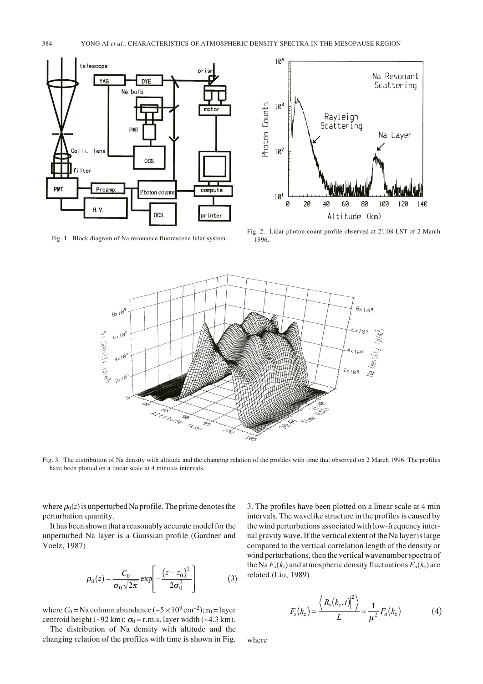

Fig. 1. Block diagram of Na resonance fluorescene lidar system.



Fig. 2. Lidar photon count profile observed at 21:08 LST of 2 March 1996.



Fig. 3. The distribution of Na density with altitude and the changing relation of the profiles with time that observed on 2 March 1996. The profiles have been plotted on a linear scale at 4 minutes intervals.

where  $\rho_0(z)$  is unperturbed Na profile. The prime denotes the perturbation quantity.

It has been shown that a reasonably accurate model for the unperturbed Na layer is a Gaussian profile (Gardner and Voelz, 1987)

$$
\rho_0(z) = \frac{C_0}{\sigma_0 \sqrt{2\pi}} \exp \left[ -\frac{(z - z_0)^2}{2\sigma_0^2} \right]
$$
 (3)

where  $C_0$  = Na column abundance ( $\sim$  5  $\times$  10<sup>9</sup> cm<sup>-2</sup>); *z*<sub>0</sub> = layer centroid height (~92 km);  $\sigma_0 =$  r.m.s. layer width (~4.3 km).

The distribution of Na density with altitude and the changing relation of the profiles with time is shown in Fig. 3. The profiles have been plotted on a linear scale at 4 min intervals. The wavelike structure in the profiles is caused by the wind perturbations associated with low-frequency internal gravity wave. If the vertical extent of the Na layer is large compared to the vertical correlation length of the density or wind perturbations, then the vertical wavenumber spectra of the Na  $F_s(k_z)$  and atmospheric density fluctuations  $F_a(k_z)$  are related (Liu, 1989)

$$
F_s(k_z) = \frac{\langle \left| R_s(k_z, t) \right|^2 \rangle}{L} \approx \frac{1}{\mu^2} F_a(k_z)
$$
 (4)

where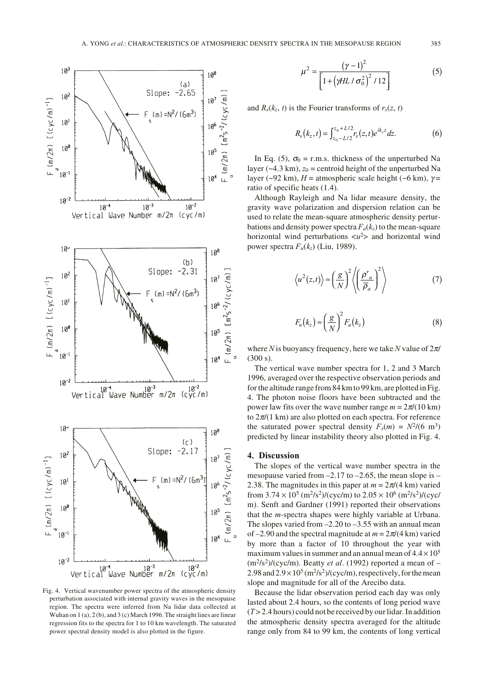

Fig. 4. Vertical wavenumber power spectra of the atmospheric density perturbation associated with internal gravity waves in the mesopause region. The spectra were inferred from Na lidar data collected at Wuhan on 1 (a), 2 (b), and 3 (c) March 1996. The straight lines are linear regression fits to the spectra for 1 to 10 km wavelength. The saturated power spectral density model is also plotted in the figure.

$$
\mu^{2} = \frac{(\gamma - 1)^{2}}{\left[1 + \left(\gamma H L / \sigma_{0}^{2}\right)^{2} / 12\right]}
$$
(5)

and  $R_s(k_z, t)$  is the Fourier transforms of  $r_s(z, t)$ 

$$
R_s(k_z,t) = \int_{z_0 - L/2}^{z_0 + L/2} r_s(z,t) e^{ik_z z} dz.
$$
 (6)

In Eq. (5),  $\sigma_0$  = r.m.s. thickness of the unperturbed Na layer ( $\approx$ 4.3 km),  $z_0$  = centroid height of the unperturbed Na layer (~92 km),  $H =$  atmospheric scale height (~6 km),  $\gamma =$ ratio of specific heats (1.4).

Although Rayleigh and Na lidar measure density, the gravity wave polarization and dispersion relation can be used to relate the mean-square atmospheric density perturbations and density power spectra  $F_a(k_z)$  to the mean-square horizontal wind perturbations  $\langle u^2 \rangle$  and horizontal wind power spectra *Fu*(*kz*) (Liu, 1989).

$$
\langle u^2(z,t) \rangle \approx \left(\frac{g}{N}\right)^2 \left\langle \left(\frac{\rho'}{\overline{\rho}_a}\right)^2 \right\rangle \tag{7}
$$

$$
F_u(k_z) \approx \left(\frac{g}{N}\right)^2 F_a(k_z)
$$
 (8)

where *N* is buoyancy frequency, here we take *N* value of 2π/ (300 s).

The vertical wave number spectra for 1, 2 and 3 March 1996, averaged over the respective observation periods and for the altitude range from 84 km to 99 km, are plotted in Fig. 4. The photon noise floors have been subtracted and the power law fits over the wave number range  $m = 2\pi/(10 \text{ km})$ to  $2\pi/(1 \text{ km})$  are also plotted on each spectra. For reference the saturated power spectral density  $F_s(m) = N^2/(6 \text{ m}^3)$ predicted by linear instability theory also plotted in Fig. 4.

## **4. Discussion**

The slopes of the vertical wave number spectra in the mesopause varied from  $-2.17$  to  $-2.65$ , the mean slope is  $-$ 2.38. The magnitudes in this paper at  $m = 2\pi/(4 \text{ km})$  varied from  $3.74 \times 10^5$  (m<sup>2</sup>/s<sup>2</sup>)/(cyc/m) to  $2.05 \times 10^6$  (m<sup>2</sup>/s<sup>2</sup>)/(cyc/ m). Senft and Gardner (1991) reported their observations that the *m*-spectra shapes were highly variable at Urbana. The slopes varied from  $-2.20$  to  $-3.55$  with an annual mean of  $-2.90$  and the spectral magnitude at  $m = 2\pi/(4 \text{ km})$  varied by more than a factor of 10 throughout the year with maximum values in summer and an annual mean of  $4.4 \times 10^5$  $(m<sup>2</sup>/s<sup>2</sup>)/(cyc/m)$ . Beatty *et al.* (1992) reported a mean of – 2.98 and  $2.9 \times 10^5$  (m<sup>2</sup>/s<sup>2</sup>)/(cyc/m), respectively, for the mean slope and magnitude for all of the Arecibo data.

Because the lidar observation period each day was only lasted about 2.4 hours, so the contents of long period wave (*T* > 2.4 hours) could not be received by our lidar. In addition the atmospheric density spectra averaged for the altitude range only from 84 to 99 km, the contents of long vertical